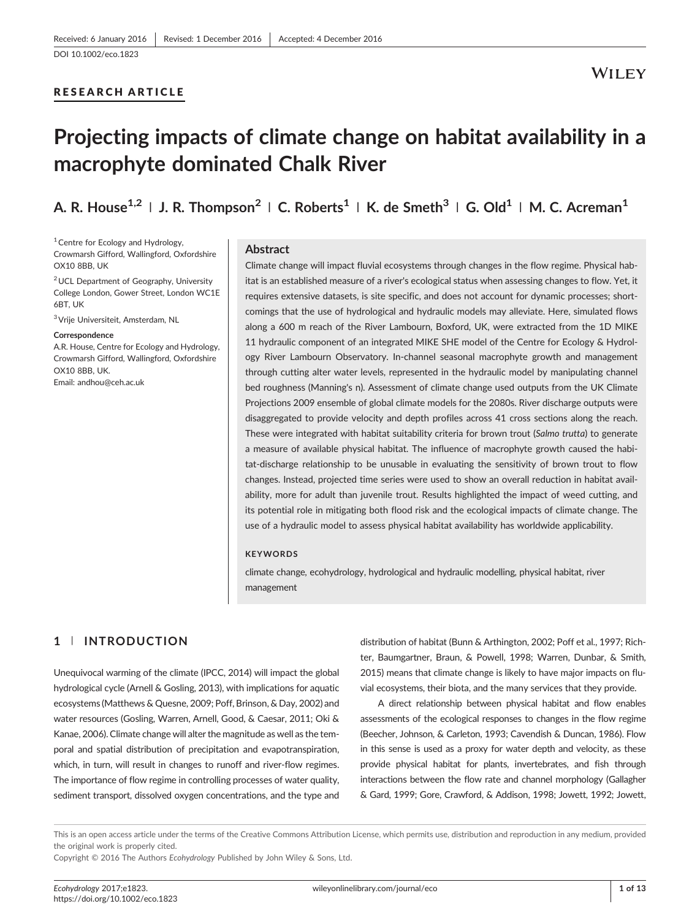## RESEARCH ARTICLE

# Projecting impacts of climate change on habitat availability in a macrophyte dominated Chalk River

A. R. House<sup>1,2</sup> | J. R. Thompson<sup>2</sup> | C. Roberts<sup>1</sup> | K. de Smeth<sup>3</sup> | G. Old<sup>1</sup> | M. C. Acreman<sup>1</sup>

 $1$  Centre for Ecology and Hydrology, Crowmarsh Gifford, Wallingford, Oxfordshire OX10 8BB, UK

2UCL Department of Geography, University College London, Gower Street, London WC1E **6BT, UK** 

3Vrije Universiteit, Amsterdam, NL

#### **Correspondence**

A.R. House, Centre for Ecology and Hydrology, Crowmarsh Gifford, Wallingford, Oxfordshire OX10 8BB, UK. Email: [andhou@ceh.ac.uk](mailto:andhou@ceh.ac.uk)

#### Abstract

Climate change will impact fluvial ecosystems through changes in the flow regime. Physical habitat is an established measure of a river's ecological status when assessing changes to flow. Yet, it requires extensive datasets, is site specific, and does not account for dynamic processes; shortcomings that the use of hydrological and hydraulic models may alleviate. Here, simulated flows along a 600 m reach of the River Lambourn, Boxford, UK, were extracted from the 1D MIKE 11 hydraulic component of an integrated MIKE SHE model of the Centre for Ecology & Hydrology River Lambourn Observatory. In‐channel seasonal macrophyte growth and management through cutting alter water levels, represented in the hydraulic model by manipulating channel bed roughness (Manning's n). Assessment of climate change used outputs from the UK Climate Projections 2009 ensemble of global climate models for the 2080s. River discharge outputs were disaggregated to provide velocity and depth profiles across 41 cross sections along the reach. These were integrated with habitat suitability criteria for brown trout (Salmo trutta) to generate a measure of available physical habitat. The influence of macrophyte growth caused the habitat-discharge relationship to be unusable in evaluating the sensitivity of brown trout to flow changes. Instead, projected time series were used to show an overall reduction in habitat availability, more for adult than juvenile trout. Results highlighted the impact of weed cutting, and its potential role in mitigating both flood risk and the ecological impacts of climate change. The use of a hydraulic model to assess physical habitat availability has worldwide applicability.

#### **KEYWORDS**

climate change, ecohydrology, hydrological and hydraulic modelling, physical habitat, river management

# 1 | INTRODUCTION

Unequivocal warming of the climate (IPCC, 2014) will impact the global hydrological cycle (Arnell & Gosling, 2013), with implications for aquatic ecosystems (Matthews & Quesne, 2009; Poff, Brinson, & Day, 2002) and water resources (Gosling, Warren, Arnell, Good, & Caesar, 2011; Oki & Kanae, 2006). Climate change will alter the magnitude as well as the temporal and spatial distribution of precipitation and evapotranspiration, which, in turn, will result in changes to runoff and river‐flow regimes. The importance of flow regime in controlling processes of water quality, sediment transport, dissolved oxygen concentrations, and the type and distribution of habitat (Bunn & Arthington, 2002; Poff et al., 1997; Richter, Baumgartner, Braun, & Powell, 1998; Warren, Dunbar, & Smith, 2015) means that climate change is likely to have major impacts on fluvial ecosystems, their biota, and the many services that they provide.

A direct relationship between physical habitat and flow enables assessments of the ecological responses to changes in the flow regime (Beecher, Johnson, & Carleton, 1993; Cavendish & Duncan, 1986). Flow in this sense is used as a proxy for water depth and velocity, as these provide physical habitat for plants, invertebrates, and fish through interactions between the flow rate and channel morphology (Gallagher & Gard, 1999; Gore, Crawford, & Addison, 1998; Jowett, 1992; Jowett,

This is an open access article under the terms of the [Creative Commons Attribution](http://creativecommons.org/licenses/by/4.0/) License, which permits use, distribution and reproduction in any medium, provided the original work is properly cited.

Copyright © 2016 The Authors Ecohydrology Published by John Wiley & Sons, Ltd.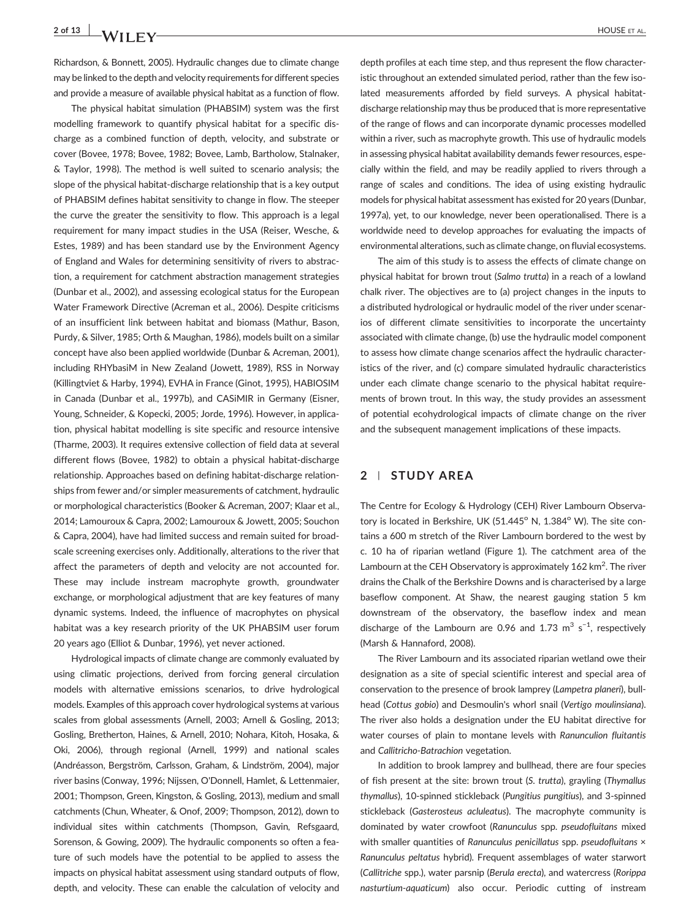# 2 of 13 A / I I I V

Richardson, & Bonnett, 2005). Hydraulic changes due to climate change may be linked to the depth and velocity requirements for different species and provide a measure of available physical habitat as a function of flow.

The physical habitat simulation (PHABSIM) system was the first modelling framework to quantify physical habitat for a specific discharge as a combined function of depth, velocity, and substrate or cover (Bovee, 1978; Bovee, 1982; Bovee, Lamb, Bartholow, Stalnaker, & Taylor, 1998). The method is well suited to scenario analysis; the slope of the physical habitat‐discharge relationship that is a key output of PHABSIM defines habitat sensitivity to change in flow. The steeper the curve the greater the sensitivity to flow. This approach is a legal requirement for many impact studies in the USA (Reiser, Wesche, & Estes, 1989) and has been standard use by the Environment Agency of England and Wales for determining sensitivity of rivers to abstraction, a requirement for catchment abstraction management strategies (Dunbar et al., 2002), and assessing ecological status for the European Water Framework Directive (Acreman et al., 2006). Despite criticisms of an insufficient link between habitat and biomass (Mathur, Bason, Purdy, & Silver, 1985; Orth & Maughan, 1986), models built on a similar concept have also been applied worldwide (Dunbar & Acreman, 2001), including RHYbasiM in New Zealand (Jowett, 1989), RSS in Norway (Killingtviet & Harby, 1994), EVHA in France (Ginot, 1995), HABIOSIM in Canada (Dunbar et al., 1997b), and CASiMIR in Germany (Eisner, Young, Schneider, & Kopecki, 2005; Jorde, 1996). However, in application, physical habitat modelling is site specific and resource intensive (Tharme, 2003). It requires extensive collection of field data at several different flows (Bovee, 1982) to obtain a physical habitat‐discharge relationship. Approaches based on defining habitat‐discharge relationships from fewer and/or simpler measurements of catchment, hydraulic or morphological characteristics (Booker & Acreman, 2007; Klaar et al., 2014; Lamouroux & Capra, 2002; Lamouroux & Jowett, 2005; Souchon & Capra, 2004), have had limited success and remain suited for broad‐ scale screening exercises only. Additionally, alterations to the river that affect the parameters of depth and velocity are not accounted for. These may include instream macrophyte growth, groundwater exchange, or morphological adjustment that are key features of many dynamic systems. Indeed, the influence of macrophytes on physical habitat was a key research priority of the UK PHABSIM user forum 20 years ago (Elliot & Dunbar, 1996), yet never actioned.

Hydrological impacts of climate change are commonly evaluated by using climatic projections, derived from forcing general circulation models with alternative emissions scenarios, to drive hydrological models. Examples of this approach cover hydrological systems at various scales from global assessments (Arnell, 2003; Arnell & Gosling, 2013; Gosling, Bretherton, Haines, & Arnell, 2010; Nohara, Kitoh, Hosaka, & Oki, 2006), through regional (Arnell, 1999) and national scales (Andréasson, Bergström, Carlsson, Graham, & Lindström, 2004), major river basins (Conway, 1996; Nijssen, O'Donnell, Hamlet, & Lettenmaier, 2001; Thompson, Green, Kingston, & Gosling, 2013), medium and small catchments (Chun, Wheater, & Onof, 2009; Thompson, 2012), down to individual sites within catchments (Thompson, Gavin, Refsgaard, Sorenson, & Gowing, 2009). The hydraulic components so often a feature of such models have the potential to be applied to assess the impacts on physical habitat assessment using standard outputs of flow, depth, and velocity. These can enable the calculation of velocity and depth profiles at each time step, and thus represent the flow characteristic throughout an extended simulated period, rather than the few isolated measurements afforded by field surveys. A physical habitatdischarge relationship may thus be produced that is more representative of the range of flows and can incorporate dynamic processes modelled within a river, such as macrophyte growth. This use of hydraulic models in assessing physical habitat availability demands fewer resources, especially within the field, and may be readily applied to rivers through a range of scales and conditions. The idea of using existing hydraulic models for physical habitat assessment has existed for 20 years (Dunbar, 1997a), yet, to our knowledge, never been operationalised. There is a worldwide need to develop approaches for evaluating the impacts of environmental alterations, such as climate change, on fluvial ecosystems.

The aim of this study is to assess the effects of climate change on physical habitat for brown trout (Salmo trutta) in a reach of a lowland chalk river. The objectives are to (a) project changes in the inputs to a distributed hydrological or hydraulic model of the river under scenarios of different climate sensitivities to incorporate the uncertainty associated with climate change, (b) use the hydraulic model component to assess how climate change scenarios affect the hydraulic characteristics of the river, and (c) compare simulated hydraulic characteristics under each climate change scenario to the physical habitat requirements of brown trout. In this way, the study provides an assessment of potential ecohydrological impacts of climate change on the river and the subsequent management implications of these impacts.

### 2 | STUDY AREA

The Centre for Ecology & Hydrology (CEH) River Lambourn Observatory is located in Berkshire, UK (51.445° N, 1.384° W). The site contains a 600 m stretch of the River Lambourn bordered to the west by c. 10 ha of riparian wetland (Figure 1). The catchment area of the Lambourn at the CEH Observatory is approximately  $162 \mathrm{~km}^2$ . The river drains the Chalk of the Berkshire Downs and is characterised by a large baseflow component. At Shaw, the nearest gauging station 5 km downstream of the observatory, the baseflow index and mean discharge of the Lambourn are 0.96 and 1.73  $m^3$  s<sup>-1</sup>, respectively (Marsh & Hannaford, 2008).

The River Lambourn and its associated riparian wetland owe their designation as a site of special scientific interest and special area of conservation to the presence of brook lamprey (Lampetra planeri), bullhead (Cottus gobio) and Desmoulin's whorl snail (Vertigo moulinsiana). The river also holds a designation under the EU habitat directive for water courses of plain to montane levels with Ranunculion fluitantis and Callitricho‐Batrachion vegetation.

In addition to brook lamprey and bullhead, there are four species of fish present at the site: brown trout (S. trutta), grayling (Thymallus thymallus), 10‐spinned stickleback (Pungitius pungitius), and 3‐spinned stickleback (Gasterosteus acluleatus). The macrophyte community is dominated by water crowfoot (Ranunculus spp. pseudofluitans mixed with smaller quantities of Ranunculus penicillatus spp. pseudofluitans × Ranunculus peltatus hybrid). Frequent assemblages of water starwort (Callitriche spp.), water parsnip (Berula erecta), and watercress (Rorippa nasturtium-aquaticum) also occur. Periodic cutting of instream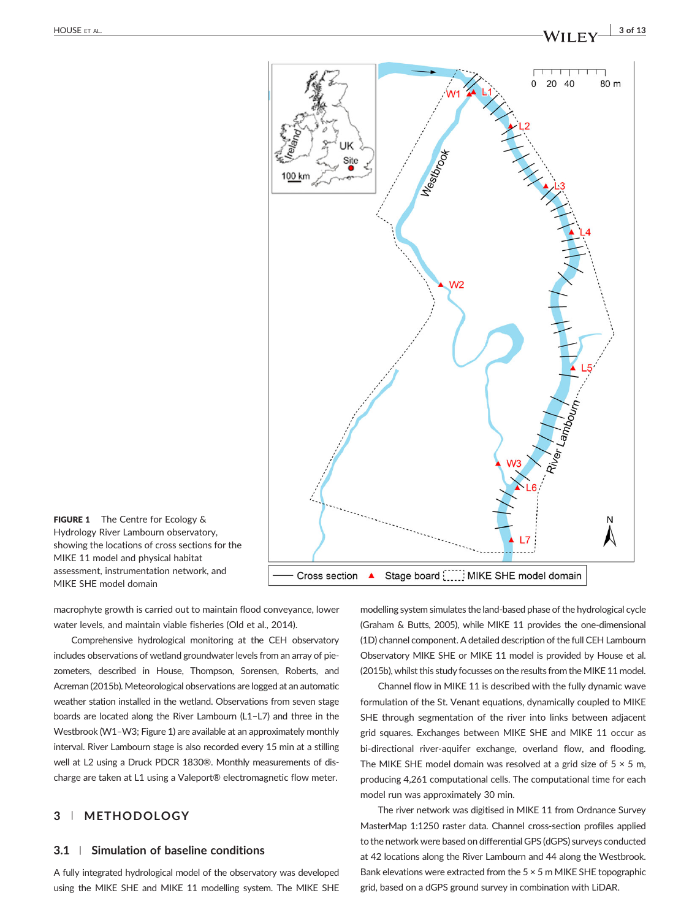

FIGURE 1 The Centre for Ecology & Hydrology River Lambourn observatory, showing the locations of cross sections for the MIKE 11 model and physical habitat assessment, instrumentation network, and MIKE SHE model domain

macrophyte growth is carried out to maintain flood conveyance, lower water levels, and maintain viable fisheries (Old et al., 2014).

Comprehensive hydrological monitoring at the CEH observatory includes observations of wetland groundwater levels from an array of piezometers, described in House, Thompson, Sorensen, Roberts, and Acreman (2015b). Meteorological observations are logged at an automatic weather station installed in the wetland. Observations from seven stage boards are located along the River Lambourn (L1–L7) and three in the Westbrook (W1–W3; Figure 1) are available at an approximately monthly interval. River Lambourn stage is also recorded every 15 min at a stilling well at L2 using a Druck PDCR 1830®. Monthly measurements of discharge are taken at L1 using a Valeport® electromagnetic flow meter.

# 3 | METHODOLOGY

## 3.1 | Simulation of baseline conditions

A fully integrated hydrological model of the observatory was developed using the MIKE SHE and MIKE 11 modelling system. The MIKE SHE modelling system simulates the land‐based phase of the hydrological cycle (Graham & Butts, 2005), while MIKE 11 provides the one‐dimensional (1D) channel component. A detailed description of the full CEH Lambourn Observatory MIKE SHE or MIKE 11 model is provided by House et al. (2015b), whilst this study focusses on the results from the MIKE 11 model.

Channel flow in MIKE 11 is described with the fully dynamic wave formulation of the St. Venant equations, dynamically coupled to MIKE SHE through segmentation of the river into links between adjacent grid squares. Exchanges between MIKE SHE and MIKE 11 occur as bi-directional river-aquifer exchange, overland flow, and flooding. The MIKE SHE model domain was resolved at a grid size of  $5 \times 5$  m, producing 4,261 computational cells. The computational time for each model run was approximately 30 min.

The river network was digitised in MIKE 11 from Ordnance Survey MasterMap 1:1250 raster data. Channel cross‐section profiles applied to the network were based on differential GPS (dGPS) surveys conducted at 42 locations along the River Lambourn and 44 along the Westbrook. Bank elevations were extracted from the  $5 \times 5$  m MIKE SHE topographic grid, based on a dGPS ground survey in combination with LiDAR.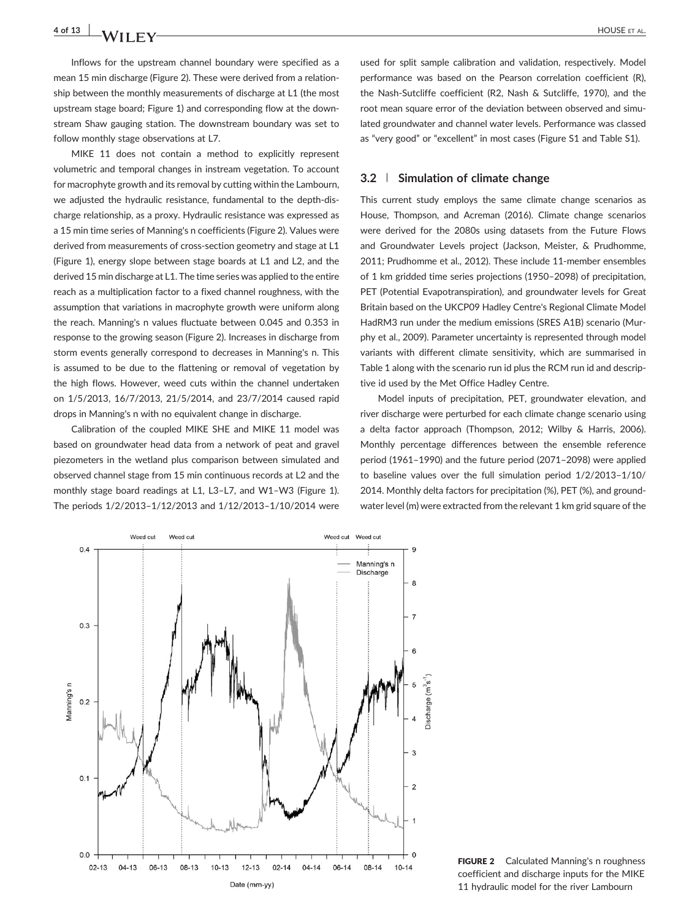Inflows for the upstream channel boundary were specified as a mean 15 min discharge (Figure 2). These were derived from a relationship between the monthly measurements of discharge at L1 (the most upstream stage board; Figure 1) and corresponding flow at the downstream Shaw gauging station. The downstream boundary was set to follow monthly stage observations at L7.

MIKE 11 does not contain a method to explicitly represent volumetric and temporal changes in instream vegetation. To account for macrophyte growth and its removal by cutting within the Lambourn, we adjusted the hydraulic resistance, fundamental to the depth‐discharge relationship, as a proxy. Hydraulic resistance was expressed as a 15 min time series of Manning's n coefficients (Figure 2). Values were derived from measurements of cross-section geometry and stage at L1 (Figure 1), energy slope between stage boards at L1 and L2, and the derived 15 min discharge at L1. The time series was applied to the entire reach as a multiplication factor to a fixed channel roughness, with the assumption that variations in macrophyte growth were uniform along the reach. Manning's n values fluctuate between 0.045 and 0.353 in response to the growing season (Figure 2). Increases in discharge from storm events generally correspond to decreases in Manning's n. This is assumed to be due to the flattening or removal of vegetation by the high flows. However, weed cuts within the channel undertaken on 1/5/2013, 16/7/2013, 21/5/2014, and 23/7/2014 caused rapid drops in Manning's n with no equivalent change in discharge.

Calibration of the coupled MIKE SHE and MIKE 11 model was based on groundwater head data from a network of peat and gravel piezometers in the wetland plus comparison between simulated and observed channel stage from 15 min continuous records at L2 and the monthly stage board readings at L1, L3–L7, and W1–W3 (Figure 1). The periods 1/2/2013–1/12/2013 and 1/12/2013–1/10/2014 were

used for split sample calibration and validation, respectively. Model performance was based on the Pearson correlation coefficient (R), the Nash‐Sutcliffe coefficient (R2, Nash & Sutcliffe, 1970), and the root mean square error of the deviation between observed and simulated groundwater and channel water levels. Performance was classed as "very good" or "excellent" in most cases (Figure S1 and Table S1).

## 3.2 | Simulation of climate change

This current study employs the same climate change scenarios as House, Thompson, and Acreman (2016). Climate change scenarios were derived for the 2080s using datasets from the Future Flows and Groundwater Levels project (Jackson, Meister, & Prudhomme, 2011; Prudhomme et al., 2012). These include 11‐member ensembles of 1 km gridded time series projections (1950–2098) of precipitation, PET (Potential Evapotranspiration), and groundwater levels for Great Britain based on the UKCP09 Hadley Centre's Regional Climate Model HadRM3 run under the medium emissions (SRES A1B) scenario (Murphy et al., 2009). Parameter uncertainty is represented through model variants with different climate sensitivity, which are summarised in Table 1 along with the scenario run id plus the RCM run id and descriptive id used by the Met Office Hadley Centre.

Model inputs of precipitation, PET, groundwater elevation, and river discharge were perturbed for each climate change scenario using a delta factor approach (Thompson, 2012; Wilby & Harris, 2006). Monthly percentage differences between the ensemble reference period (1961–1990) and the future period (2071–2098) were applied to baseline values over the full simulation period 1/2/2013–1/10/ 2014. Monthly delta factors for precipitation (%), PET (%), and groundwater level (m) were extracted from the relevant 1 km grid square of the



FIGURE 2 Calculated Manning's n roughness coefficient and discharge inputs for the MIKE 11 hydraulic model for the river Lambourn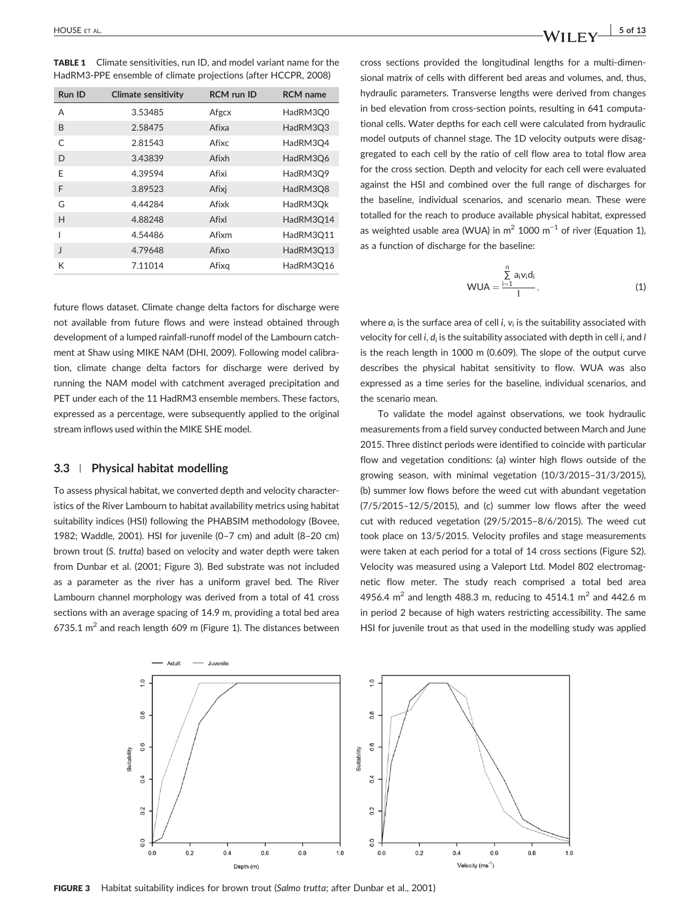TABLE 1 Climate sensitivities, run ID, and model variant name for the HadRM3‐PPE ensemble of climate projections (after HCCPR, 2008)

| Run ID       | <b>Climate sensitivity</b> | <b>RCM</b> run ID | <b>RCM</b> name |  |
|--------------|----------------------------|-------------------|-----------------|--|
| А            | 3.53485                    | Afgcx             | HadRM3O0        |  |
| B            | 2.58475                    | Afixa             | HadRM3Q3        |  |
| C            | 2.81543                    | Afixc             | HadRM3O4        |  |
| D            | 3.43839                    | Afixh             | HadRM3Q6        |  |
| F            | 4.39594                    | Afixi             | HadRM3O9        |  |
| F            | 3.89523                    | Afixi             | HadRM3Q8        |  |
| G            | 4.44284                    | Afixk             | HadRM3Ok        |  |
| H            | 4.88248                    | Afixl             | HadRM3O14       |  |
|              | 4.54486                    | Afixm             | HadRM3O11       |  |
| $\mathbf{I}$ | 4.79648                    | Afixo             | HadRM3Q13       |  |
| К            | 7.11014                    | Afixg             | HadRM3O16       |  |

future flows dataset. Climate change delta factors for discharge were not available from future flows and were instead obtained through development of a lumped rainfall‐runoff model of the Lambourn catchment at Shaw using MIKE NAM (DHI, 2009). Following model calibration, climate change delta factors for discharge were derived by running the NAM model with catchment averaged precipitation and PET under each of the 11 HadRM3 ensemble members. These factors, expressed as a percentage, were subsequently applied to the original stream inflows used within the MIKE SHE model.

#### 3.3 | Physical habitat modelling

To assess physical habitat, we converted depth and velocity characteristics of the River Lambourn to habitat availability metrics using habitat suitability indices (HSI) following the PHABSIM methodology (Bovee, 1982; Waddle, 2001). HSI for juvenile (0–7 cm) and adult (8–20 cm) brown trout (S. trutta) based on velocity and water depth were taken from Dunbar et al. (2001; Figure 3). Bed substrate was not included as a parameter as the river has a uniform gravel bed. The River Lambourn channel morphology was derived from a total of 41 cross sections with an average spacing of 14.9 m, providing a total bed area 6735.1  $m^2$  and reach length 609 m (Figure 1). The distances between

cross sections provided the longitudinal lengths for a multi‐dimensional matrix of cells with different bed areas and volumes, and, thus, hydraulic parameters. Transverse lengths were derived from changes in bed elevation from cross-section points, resulting in 641 computational cells. Water depths for each cell were calculated from hydraulic model outputs of channel stage. The 1D velocity outputs were disaggregated to each cell by the ratio of cell flow area to total flow area for the cross section. Depth and velocity for each cell were evaluated against the HSI and combined over the full range of discharges for the baseline, individual scenarios, and scenario mean. These were totalled for the reach to produce available physical habitat, expressed as weighted usable area (WUA) in  $m^2$  1000  $m^{-1}$  of river (Equation 1), as a function of discharge for the baseline:

$$
WUA = \frac{\sum_{i=1}^{n} a_i v_i d_i}{l}, \qquad (1)
$$

where  $a_i$  is the surface area of cell i,  $v_i$  is the suitability associated with velocity for cell i,  $d_i$  is the suitability associated with depth in cell i, and I is the reach length in 1000 m (0.609). The slope of the output curve describes the physical habitat sensitivity to flow. WUA was also expressed as a time series for the baseline, individual scenarios, and the scenario mean.

To validate the model against observations, we took hydraulic measurements from a field survey conducted between March and June 2015. Three distinct periods were identified to coincide with particular flow and vegetation conditions: (a) winter high flows outside of the growing season, with minimal vegetation (10/3/2015–31/3/2015), (b) summer low flows before the weed cut with abundant vegetation (7/5/2015–12/5/2015), and (c) summer low flows after the weed cut with reduced vegetation (29/5/2015–8/6/2015). The weed cut took place on 13/5/2015. Velocity profiles and stage measurements were taken at each period for a total of 14 cross sections (Figure S2). Velocity was measured using a Valeport Ltd. Model 802 electromagnetic flow meter. The study reach comprised a total bed area 4956.4 m<sup>2</sup> and length 488.3 m, reducing to 4514.1 m<sup>2</sup> and 442.6 m in period 2 because of high waters restricting accessibility. The same HSI for juvenile trout as that used in the modelling study was applied



FIGURE 3 Habitat suitability indices for brown trout (Salmo trutta; after Dunbar et al., 2001)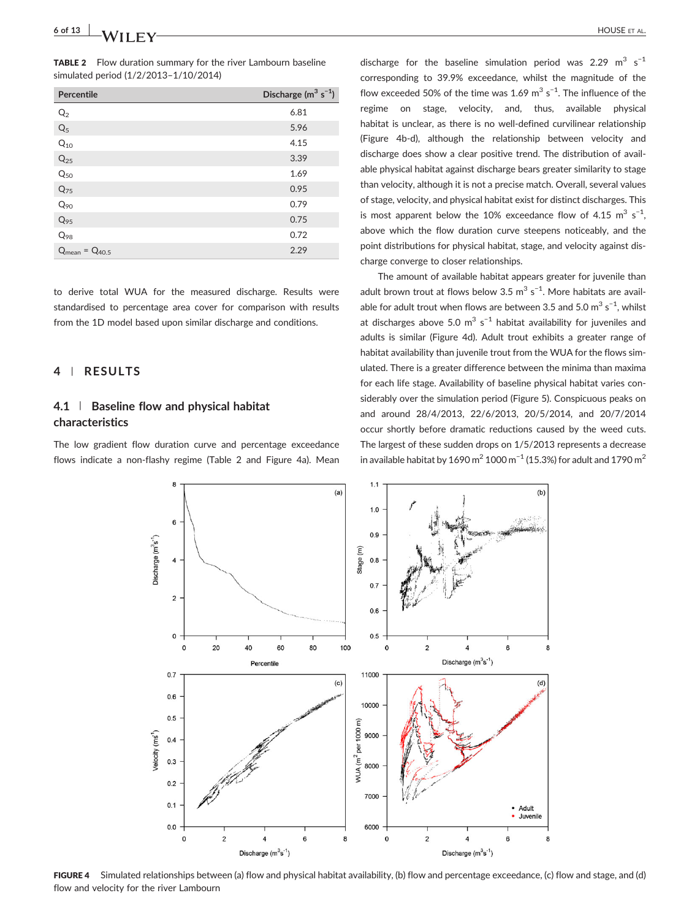TABLE 2 Flow duration summary for the river Lambourn baseline simulated period (1/2/2013–1/10/2014)

| <b>Percentile</b>     | Discharge ( $m^3$ s <sup>-1</sup> ) |
|-----------------------|-------------------------------------|
| Q <sub>2</sub>        | 6.81                                |
| $Q_5$                 | 5.96                                |
| $Q_{10}$              | 4.15                                |
| $Q_{25}$              | 3.39                                |
| $Q_{50}$              | 1.69                                |
| $Q_{75}$              | 0.95                                |
| $Q_{90}$              | 0.79                                |
| $Q_{95}$              | 0.75                                |
| $Q_{98}$              | 0.72                                |
| $Q_{mean} = Q_{40.5}$ | 2.29                                |

to derive total WUA for the measured discharge. Results were standardised to percentage area cover for comparison with results from the 1D model based upon similar discharge and conditions.

## 4 | RESULTS

# 4.1 | Baseline flow and physical habitat characteristics

The low gradient flow duration curve and percentage exceedance flows indicate a non-flashy regime (Table 2 and Figure 4a). Mean

discharge for the baseline simulation period was 2.29  $m^3$  s<sup>-1</sup> corresponding to 39.9% exceedance, whilst the magnitude of the flow exceeded 50% of the time was 1.69  $\text{m}^3$  s<sup>-1</sup>. The influence of the regime on stage, velocity, and, thus, available physical habitat is unclear, as there is no well-defined curvilinear relationship (Figure 4b‐d), although the relationship between velocity and discharge does show a clear positive trend. The distribution of available physical habitat against discharge bears greater similarity to stage than velocity, although it is not a precise match. Overall, several values of stage, velocity, and physical habitat exist for distinct discharges. This is most apparent below the 10% exceedance flow of 4.15  $m^3$  s<sup>-1</sup>, above which the flow duration curve steepens noticeably, and the point distributions for physical habitat, stage, and velocity against discharge converge to closer relationships.

The amount of available habitat appears greater for juvenile than adult brown trout at flows below  $3.5 \text{ m}^3 \text{ s}^{-1}$ . More habitats are available for adult trout when flows are between 3.5 and 5.0  $\text{m}^3$  s<sup>-1</sup>, whilst at discharges above 5.0  $m^3$  s<sup>-1</sup> habitat availability for juveniles and adults is similar (Figure 4d). Adult trout exhibits a greater range of habitat availability than juvenile trout from the WUA for the flows simulated. There is a greater difference between the minima than maxima for each life stage. Availability of baseline physical habitat varies considerably over the simulation period (Figure 5). Conspicuous peaks on and around 28/4/2013, 22/6/2013, 20/5/2014, and 20/7/2014 occur shortly before dramatic reductions caused by the weed cuts. The largest of these sudden drops on 1/5/2013 represents a decrease in available habitat by 1690 m<sup>2</sup> 1000 m<sup>-1</sup> (15.3%) for adult and 1790 m<sup>2</sup>



FIGURE 4 Simulated relationships between (a) flow and physical habitat availability, (b) flow and percentage exceedance, (c) flow and stage, and (d) flow and velocity for the river Lambourn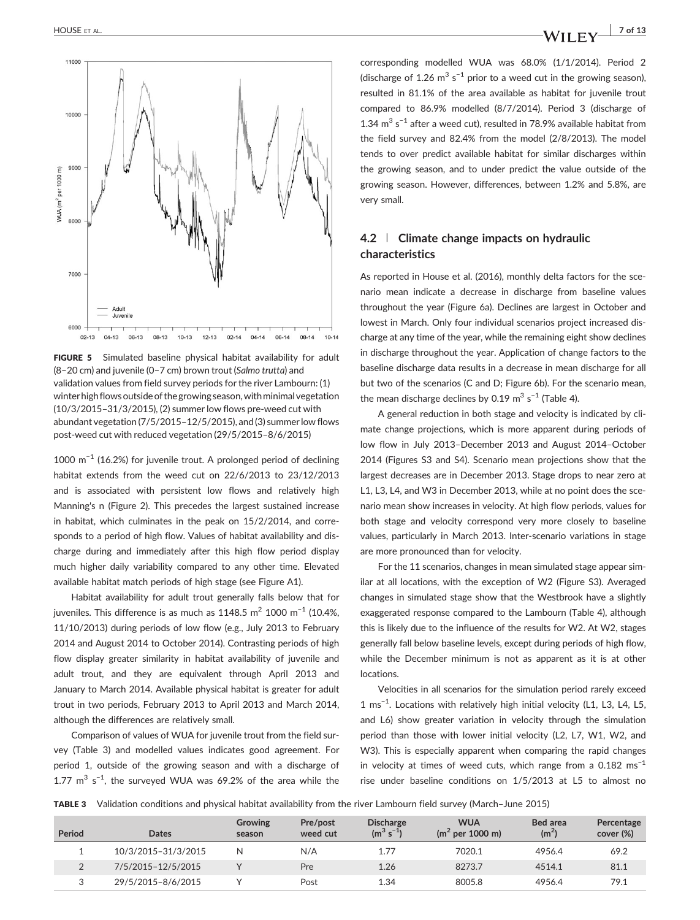

FIGURE 5 Simulated baseline physical habitat availability for adult (8–20 cm) and juvenile (0–7 cm) brown trout (Salmo trutta) and validation values from field survey periods for the river Lambourn: (1) winter high flows outside of the growing season, with minimal vegetation (10/3/2015–31/3/2015), (2) summer low flows pre‐weed cut with abundant vegetation (7/5/2015–12/5/2015), and (3) summer low flows post‐weed cut with reduced vegetation (29/5/2015–8/6/2015)

1000 m−<sup>1</sup> (16.2%) for juvenile trout. A prolonged period of declining habitat extends from the weed cut on 22/6/2013 to 23/12/2013 and is associated with persistent low flows and relatively high Manning's n (Figure 2). This precedes the largest sustained increase in habitat, which culminates in the peak on 15/2/2014, and corresponds to a period of high flow. Values of habitat availability and discharge during and immediately after this high flow period display much higher daily variability compared to any other time. Elevated available habitat match periods of high stage (see Figure A1).

Habitat availability for adult trout generally falls below that for juveniles. This difference is as much as 1148.5 m<sup>2</sup> 1000 m<sup>-1</sup> (10.4%, 11/10/2013) during periods of low flow (e.g., July 2013 to February 2014 and August 2014 to October 2014). Contrasting periods of high flow display greater similarity in habitat availability of juvenile and adult trout, and they are equivalent through April 2013 and January to March 2014. Available physical habitat is greater for adult trout in two periods, February 2013 to April 2013 and March 2014, although the differences are relatively small.

Comparison of values of WUA for juvenile trout from the field survey (Table 3) and modelled values indicates good agreement. For period 1, outside of the growing season and with a discharge of 1.77  $m^3$  s<sup>-1</sup>, the surveyed WUA was 69.2% of the area while the

corresponding modelled WUA was 68.0% (1/1/2014). Period 2 (discharge of 1.26 m<sup>3</sup> s<sup>-1</sup> prior to a weed cut in the growing season), resulted in 81.1% of the area available as habitat for juvenile trout compared to 86.9% modelled (8/7/2014). Period 3 (discharge of 1.34  $m^3$  s<sup>-1</sup> after a weed cut), resulted in 78.9% available habitat from the field survey and 82.4% from the model (2/8/2013). The model tends to over predict available habitat for similar discharges within the growing season, and to under predict the value outside of the growing season. However, differences, between 1.2% and 5.8%, are very small.

# 4.2 | Climate change impacts on hydraulic characteristics

As reported in House et al. (2016), monthly delta factors for the scenario mean indicate a decrease in discharge from baseline values throughout the year (Figure 6a). Declines are largest in October and lowest in March. Only four individual scenarios project increased discharge at any time of the year, while the remaining eight show declines in discharge throughout the year. Application of change factors to the baseline discharge data results in a decrease in mean discharge for all but two of the scenarios (C and D; Figure 6b). For the scenario mean, the mean discharge declines by 0.19  $\text{m}^3$  s<sup>-1</sup> (Table 4).

A general reduction in both stage and velocity is indicated by climate change projections, which is more apparent during periods of low flow in July 2013–December 2013 and August 2014–October 2014 (Figures S3 and S4). Scenario mean projections show that the largest decreases are in December 2013. Stage drops to near zero at L1, L3, L4, and W3 in December 2013, while at no point does the scenario mean show increases in velocity. At high flow periods, values for both stage and velocity correspond very more closely to baseline values, particularly in March 2013. Inter-scenario variations in stage are more pronounced than for velocity.

For the 11 scenarios, changes in mean simulated stage appear similar at all locations, with the exception of W2 (Figure S3). Averaged changes in simulated stage show that the Westbrook have a slightly exaggerated response compared to the Lambourn (Table 4), although this is likely due to the influence of the results for W2. At W2, stages generally fall below baseline levels, except during periods of high flow, while the December minimum is not as apparent as it is at other locations.

Velocities in all scenarios for the simulation period rarely exceed 1 ms−<sup>1</sup> . Locations with relatively high initial velocity (L1, L3, L4, L5, and L6) show greater variation in velocity through the simulation period than those with lower initial velocity (L2, L7, W1, W2, and W3). This is especially apparent when comparing the rapid changes in velocity at times of weed cuts, which range from a  $0.182 \text{ ms}^{-1}$ rise under baseline conditions on 1/5/2013 at L5 to almost no

TABLE 3 Validation conditions and physical habitat availability from the river Lambourn field survey (March–June 2015)

| Period | Dates               | <b>Growing</b><br>season | Pre/post<br>weed cut | <b>Discharge</b><br>$(m^3 s^{-1})$ | <b>WUA</b><br>$(m^2$ per 1000 m) | Bed area<br>(m <sup>2</sup> ) | Percentage<br>cover (%) |
|--------|---------------------|--------------------------|----------------------|------------------------------------|----------------------------------|-------------------------------|-------------------------|
|        | 10/3/2015-31/3/2015 | N                        | N/A                  | 1.77                               | 7020.1                           | 4956.4                        | 69.2                    |
|        | 7/5/2015-12/5/2015  |                          | Pre                  | 1.26                               | 8273.7                           | 4514.1                        | 81.1                    |
|        | 29/5/2015-8/6/2015  |                          | Post                 | 1.34                               | 8005.8                           | 4956.4                        | 79.1                    |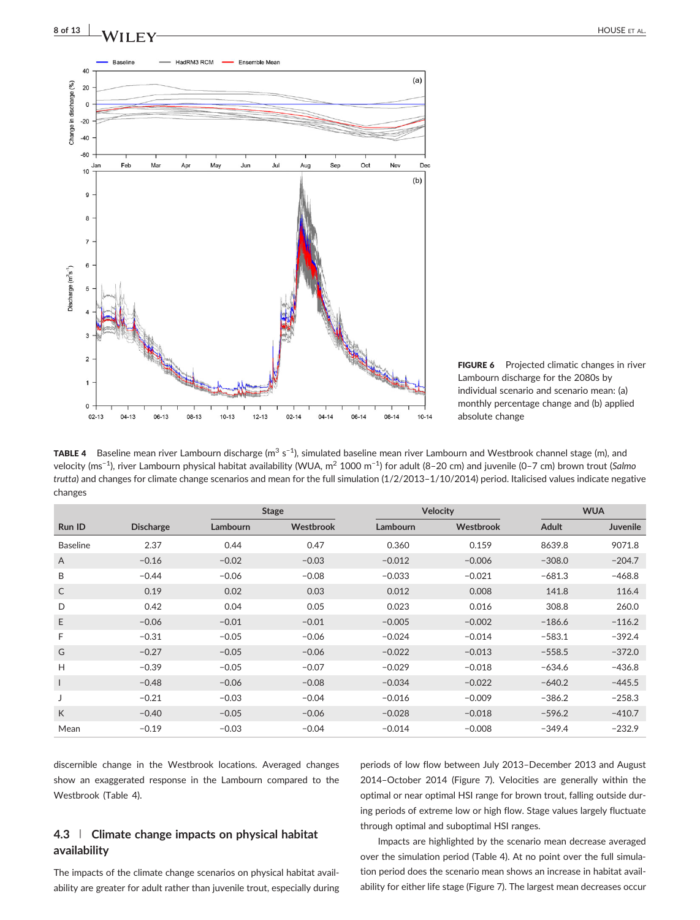



<code>TABLE 4 B</code> aseline mean river Lambourn discharge (m $^3$  s<sup>-1</sup>), simulated baseline mean river Lambourn and Westbrook channel stage (m), and velocity (ms<sup>−1</sup>), river Lambourn physical habitat availability (WUA, m<sup>2</sup> 1000 m<sup>−1</sup>) for adult (8–20 cm) and juvenile (0–7 cm) brown trout (*Salmo* trutta) and changes for climate change scenarios and mean for the full simulation (1/2/2013–1/10/2014) period. Italicised values indicate negative changes

|                          |                  |          | <b>Velocity</b><br><b>Stage</b> |          |           | <b>WUA</b>   |                 |
|--------------------------|------------------|----------|---------------------------------|----------|-----------|--------------|-----------------|
| Run ID                   | <b>Discharge</b> | Lambourn | Westbrook                       | Lambourn | Westbrook | <b>Adult</b> | <b>Juvenile</b> |
| <b>Baseline</b>          | 2.37             | 0.44     | 0.47                            | 0.360    | 0.159     | 8639.8       | 9071.8          |
| $\mathsf{A}$             | $-0.16$          | $-0.02$  | $-0.03$                         | $-0.012$ | $-0.006$  | $-308.0$     | $-204.7$        |
| B                        | $-0.44$          | $-0.06$  | $-0.08$                         | $-0.033$ | $-0.021$  | $-681.3$     | $-468.8$        |
| C                        | 0.19             | 0.02     | 0.03                            | 0.012    | 0.008     | 141.8        | 116.4           |
| D                        | 0.42             | 0.04     | 0.05                            | 0.023    | 0.016     | 308.8        | 260.0           |
| E.                       | $-0.06$          | $-0.01$  | $-0.01$                         | $-0.005$ | $-0.002$  | $-186.6$     | $-116.2$        |
| F                        | $-0.31$          | $-0.05$  | $-0.06$                         | $-0.024$ | $-0.014$  | $-583.1$     | $-392.4$        |
| G                        | $-0.27$          | $-0.05$  | $-0.06$                         | $-0.022$ | $-0.013$  | $-558.5$     | $-372.0$        |
| H                        | $-0.39$          | $-0.05$  | $-0.07$                         | $-0.029$ | $-0.018$  | $-634.6$     | $-436.8$        |
| $\overline{\phantom{a}}$ | $-0.48$          | $-0.06$  | $-0.08$                         | $-0.034$ | $-0.022$  | $-640.2$     | $-445.5$        |
| J                        | $-0.21$          | $-0.03$  | $-0.04$                         | $-0.016$ | $-0.009$  | $-386.2$     | $-258.3$        |
| K                        | $-0.40$          | $-0.05$  | $-0.06$                         | $-0.028$ | $-0.018$  | $-596.2$     | $-410.7$        |
| Mean                     | $-0.19$          | $-0.03$  | $-0.04$                         | $-0.014$ | $-0.008$  | $-349.4$     | $-232.9$        |

discernible change in the Westbrook locations. Averaged changes show an exaggerated response in the Lambourn compared to the Westbrook (Table 4).

# 4.3 | Climate change impacts on physical habitat availability

The impacts of the climate change scenarios on physical habitat availability are greater for adult rather than juvenile trout, especially during

periods of low flow between July 2013–December 2013 and August 2014–October 2014 (Figure 7). Velocities are generally within the optimal or near optimal HSI range for brown trout, falling outside during periods of extreme low or high flow. Stage values largely fluctuate through optimal and suboptimal HSI ranges.

Impacts are highlighted by the scenario mean decrease averaged over the simulation period (Table 4). At no point over the full simulation period does the scenario mean shows an increase in habitat availability for either life stage (Figure 7). The largest mean decreases occur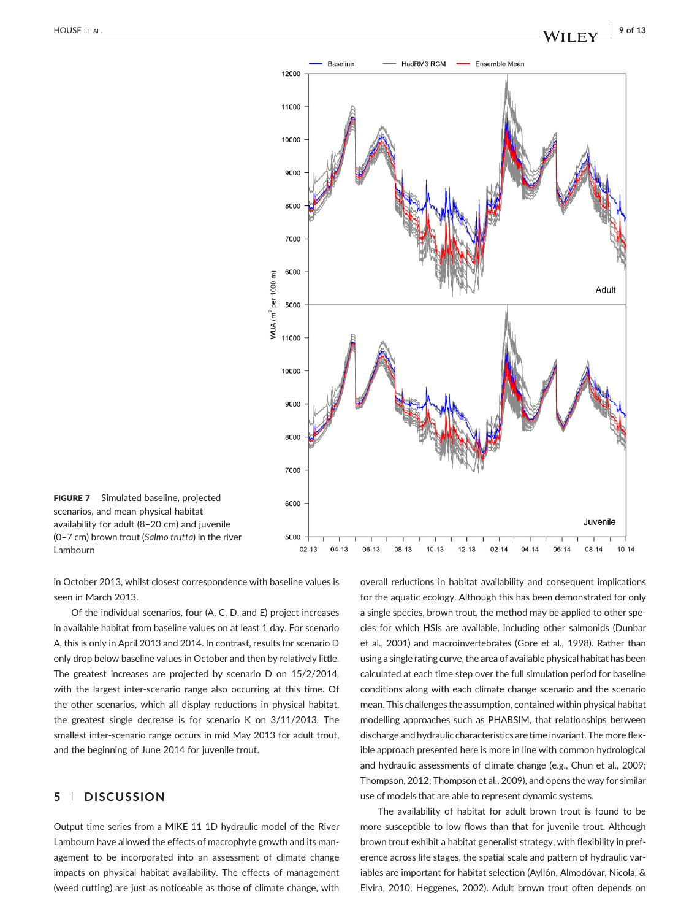

FIGURE 7 Simulated baseline, projected scenarios, and mean physical habitat availability for adult (8–20 cm) and juvenile (0–7 cm) brown trout (Salmo trutta) in the river Lambourn

in October 2013, whilst closest correspondence with baseline values is seen in March 2013.

Of the individual scenarios, four (A, C, D, and E) project increases in available habitat from baseline values on at least 1 day. For scenario A, this is only in April 2013 and 2014. In contrast, results for scenario D only drop below baseline values in October and then by relatively little. The greatest increases are projected by scenario D on 15/2/2014, with the largest inter-scenario range also occurring at this time. Of the other scenarios, which all display reductions in physical habitat, the greatest single decrease is for scenario K on 3/11/2013. The smallest inter-scenario range occurs in mid May 2013 for adult trout, and the beginning of June 2014 for juvenile trout.

# 5 | DISCUSSION

Output time series from a MIKE 11 1D hydraulic model of the River Lambourn have allowed the effects of macrophyte growth and its management to be incorporated into an assessment of climate change impacts on physical habitat availability. The effects of management (weed cutting) are just as noticeable as those of climate change, with overall reductions in habitat availability and consequent implications for the aquatic ecology. Although this has been demonstrated for only a single species, brown trout, the method may be applied to other species for which HSIs are available, including other salmonids (Dunbar et al., 2001) and macroinvertebrates (Gore et al., 1998). Rather than using a single rating curve, the area of available physical habitat has been calculated at each time step over the full simulation period for baseline conditions along with each climate change scenario and the scenario mean. This challenges the assumption, contained within physical habitat modelling approaches such as PHABSIM, that relationships between discharge and hydraulic characteristics are time invariant. The more flexible approach presented here is more in line with common hydrological and hydraulic assessments of climate change (e.g., Chun et al., 2009; Thompson, 2012; Thompson et al., 2009), and opens the way for similar use of models that are able to represent dynamic systems.

The availability of habitat for adult brown trout is found to be more susceptible to low flows than that for juvenile trout. Although brown trout exhibit a habitat generalist strategy, with flexibility in preference across life stages, the spatial scale and pattern of hydraulic variables are important for habitat selection (Ayllón, Almodóvar, Nicola, & Elvira, 2010; Heggenes, 2002). Adult brown trout often depends on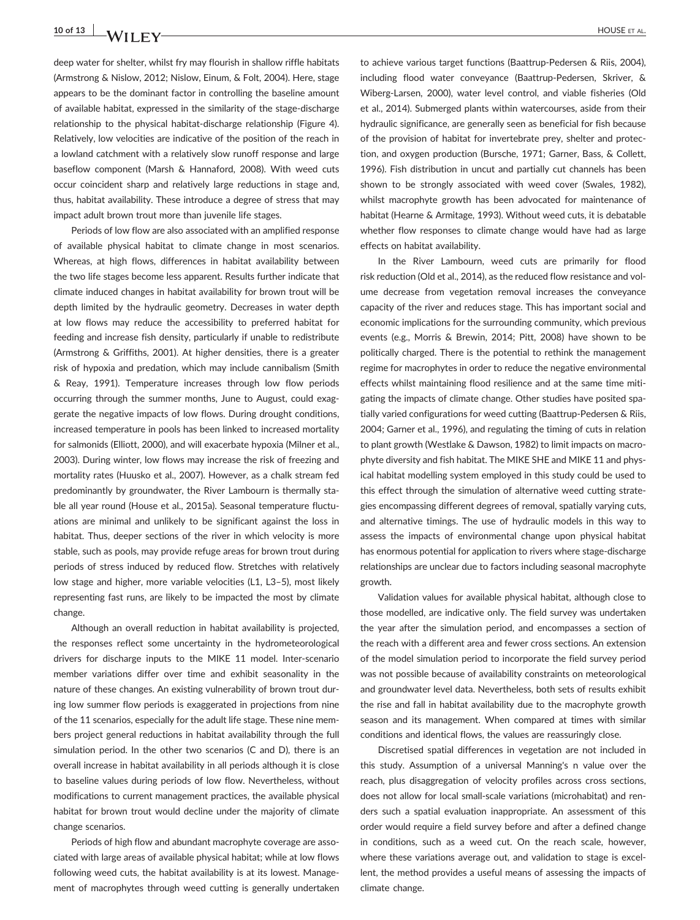deep water for shelter, whilst fry may flourish in shallow riffle habitats (Armstrong & Nislow, 2012; Nislow, Einum, & Folt, 2004). Here, stage appears to be the dominant factor in controlling the baseline amount of available habitat, expressed in the similarity of the stage‐discharge relationship to the physical habitat‐discharge relationship (Figure 4). Relatively, low velocities are indicative of the position of the reach in a lowland catchment with a relatively slow runoff response and large baseflow component (Marsh & Hannaford, 2008). With weed cuts occur coincident sharp and relatively large reductions in stage and, thus, habitat availability. These introduce a degree of stress that may impact adult brown trout more than juvenile life stages.

Periods of low flow are also associated with an amplified response of available physical habitat to climate change in most scenarios. Whereas, at high flows, differences in habitat availability between the two life stages become less apparent. Results further indicate that climate induced changes in habitat availability for brown trout will be depth limited by the hydraulic geometry. Decreases in water depth at low flows may reduce the accessibility to preferred habitat for feeding and increase fish density, particularly if unable to redistribute (Armstrong & Griffiths, 2001). At higher densities, there is a greater risk of hypoxia and predation, which may include cannibalism (Smith & Reay, 1991). Temperature increases through low flow periods occurring through the summer months, June to August, could exaggerate the negative impacts of low flows. During drought conditions, increased temperature in pools has been linked to increased mortality for salmonids (Elliott, 2000), and will exacerbate hypoxia (Milner et al., 2003). During winter, low flows may increase the risk of freezing and mortality rates (Huusko et al., 2007). However, as a chalk stream fed predominantly by groundwater, the River Lambourn is thermally stable all year round (House et al., 2015a). Seasonal temperature fluctuations are minimal and unlikely to be significant against the loss in habitat. Thus, deeper sections of the river in which velocity is more stable, such as pools, may provide refuge areas for brown trout during periods of stress induced by reduced flow. Stretches with relatively low stage and higher, more variable velocities (L1, L3–5), most likely representing fast runs, are likely to be impacted the most by climate change.

Although an overall reduction in habitat availability is projected, the responses reflect some uncertainty in the hydrometeorological drivers for discharge inputs to the MIKE 11 model. Inter‐scenario member variations differ over time and exhibit seasonality in the nature of these changes. An existing vulnerability of brown trout during low summer flow periods is exaggerated in projections from nine of the 11 scenarios, especially for the adult life stage. These nine members project general reductions in habitat availability through the full simulation period. In the other two scenarios (C and D), there is an overall increase in habitat availability in all periods although it is close to baseline values during periods of low flow. Nevertheless, without modifications to current management practices, the available physical habitat for brown trout would decline under the majority of climate change scenarios.

Periods of high flow and abundant macrophyte coverage are associated with large areas of available physical habitat; while at low flows following weed cuts, the habitat availability is at its lowest. Management of macrophytes through weed cutting is generally undertaken

to achieve various target functions (Baattrup‐Pedersen & Riis, 2004), including flood water conveyance (Baattrup‐Pedersen, Skriver, & Wiberg‐Larsen, 2000), water level control, and viable fisheries (Old et al., 2014). Submerged plants within watercourses, aside from their hydraulic significance, are generally seen as beneficial for fish because of the provision of habitat for invertebrate prey, shelter and protection, and oxygen production (Bursche, 1971; Garner, Bass, & Collett, 1996). Fish distribution in uncut and partially cut channels has been shown to be strongly associated with weed cover (Swales, 1982), whilst macrophyte growth has been advocated for maintenance of habitat (Hearne & Armitage, 1993). Without weed cuts, it is debatable whether flow responses to climate change would have had as large effects on habitat availability.

In the River Lambourn, weed cuts are primarily for flood risk reduction (Old et al., 2014), as the reduced flow resistance and volume decrease from vegetation removal increases the conveyance capacity of the river and reduces stage. This has important social and economic implications for the surrounding community, which previous events (e.g., Morris & Brewin, 2014; Pitt, 2008) have shown to be politically charged. There is the potential to rethink the management regime for macrophytes in order to reduce the negative environmental effects whilst maintaining flood resilience and at the same time mitigating the impacts of climate change. Other studies have posited spatially varied configurations for weed cutting (Baattrup-Pedersen & Riis, 2004; Garner et al., 1996), and regulating the timing of cuts in relation to plant growth (Westlake & Dawson, 1982) to limit impacts on macrophyte diversity and fish habitat. The MIKE SHE and MIKE 11 and physical habitat modelling system employed in this study could be used to this effect through the simulation of alternative weed cutting strategies encompassing different degrees of removal, spatially varying cuts, and alternative timings. The use of hydraulic models in this way to assess the impacts of environmental change upon physical habitat has enormous potential for application to rivers where stage-discharge relationships are unclear due to factors including seasonal macrophyte growth.

Validation values for available physical habitat, although close to those modelled, are indicative only. The field survey was undertaken the year after the simulation period, and encompasses a section of the reach with a different area and fewer cross sections. An extension of the model simulation period to incorporate the field survey period was not possible because of availability constraints on meteorological and groundwater level data. Nevertheless, both sets of results exhibit the rise and fall in habitat availability due to the macrophyte growth season and its management. When compared at times with similar conditions and identical flows, the values are reassuringly close.

Discretised spatial differences in vegetation are not included in this study. Assumption of a universal Manning's n value over the reach, plus disaggregation of velocity profiles across cross sections, does not allow for local small‐scale variations (microhabitat) and renders such a spatial evaluation inappropriate. An assessment of this order would require a field survey before and after a defined change in conditions, such as a weed cut. On the reach scale, however, where these variations average out, and validation to stage is excellent, the method provides a useful means of assessing the impacts of climate change.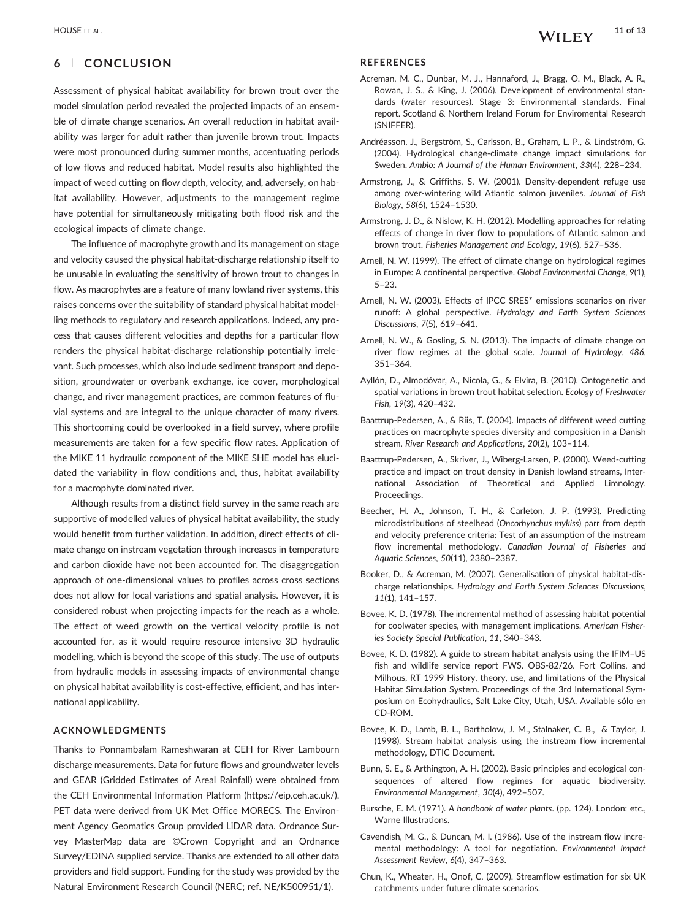# 6 | CONCLUSION

Assessment of physical habitat availability for brown trout over the model simulation period revealed the projected impacts of an ensemble of climate change scenarios. An overall reduction in habitat availability was larger for adult rather than juvenile brown trout. Impacts were most pronounced during summer months, accentuating periods of low flows and reduced habitat. Model results also highlighted the impact of weed cutting on flow depth, velocity, and, adversely, on habitat availability. However, adjustments to the management regime have potential for simultaneously mitigating both flood risk and the ecological impacts of climate change.

The influence of macrophyte growth and its management on stage and velocity caused the physical habitat‐discharge relationship itself to be unusable in evaluating the sensitivity of brown trout to changes in flow. As macrophytes are a feature of many lowland river systems, this raises concerns over the suitability of standard physical habitat modelling methods to regulatory and research applications. Indeed, any process that causes different velocities and depths for a particular flow renders the physical habitat‐discharge relationship potentially irrelevant. Such processes, which also include sediment transport and deposition, groundwater or overbank exchange, ice cover, morphological change, and river management practices, are common features of fluvial systems and are integral to the unique character of many rivers. This shortcoming could be overlooked in a field survey, where profile measurements are taken for a few specific flow rates. Application of the MIKE 11 hydraulic component of the MIKE SHE model has elucidated the variability in flow conditions and, thus, habitat availability for a macrophyte dominated river.

Although results from a distinct field survey in the same reach are supportive of modelled values of physical habitat availability, the study would benefit from further validation. In addition, direct effects of climate change on instream vegetation through increases in temperature and carbon dioxide have not been accounted for. The disaggregation approach of one‐dimensional values to profiles across cross sections does not allow for local variations and spatial analysis. However, it is considered robust when projecting impacts for the reach as a whole. The effect of weed growth on the vertical velocity profile is not accounted for, as it would require resource intensive 3D hydraulic modelling, which is beyond the scope of this study. The use of outputs from hydraulic models in assessing impacts of environmental change on physical habitat availability is cost-effective, efficient, and has international applicability.

### ACKNOWLEDGMENTS

Thanks to Ponnambalam Rameshwaran at CEH for River Lambourn discharge measurements. Data for future flows and groundwater levels and GEAR (Gridded Estimates of Areal Rainfall) were obtained from the CEH Environmental Information Platform ([https://eip.ceh.ac.uk/\)](https://eip.ceh.ac.uk/). PET data were derived from UK Met Office MORECS. The Environment Agency Geomatics Group provided LiDAR data. Ordnance Survey MasterMap data are ©Crown Copyright and an Ordnance Survey/EDINA supplied service. Thanks are extended to all other data providers and field support. Funding for the study was provided by the Natural Environment Research Council (NERC; ref. NE/K500951/1).

### **REFERENCES**

- Acreman, M. C., Dunbar, M. J., Hannaford, J., Bragg, O. M., Black, A. R., Rowan, J. S., & King, J. (2006). Development of environmental standards (water resources). Stage 3: Environmental standards. Final report. Scotland & Northern Ireland Forum for Enviromental Research (SNIFFER).
- Andréasson, J., Bergström, S., Carlsson, B., Graham, L. P., & Lindström, G. (2004). Hydrological change‐climate change impact simulations for Sweden. Ambio: A Journal of the Human Environment, 33(4), 228–234.
- Armstrong, J., & Griffiths, S. W. (2001). Density‐dependent refuge use among over-wintering wild Atlantic salmon juveniles. Journal of Fish Biology, 58(6), 1524–1530.
- Armstrong, J. D., & Nislow, K. H. (2012). Modelling approaches for relating effects of change in river flow to populations of Atlantic salmon and brown trout. Fisheries Management and Ecology, 19(6), 527–536.
- Arnell, N. W. (1999). The effect of climate change on hydrological regimes in Europe: A continental perspective. Global Environmental Change, 9(1), 5–23.
- Arnell, N. W. (2003). Effects of IPCC SRES\* emissions scenarios on river runoff: A global perspective. Hydrology and Earth System Sciences Discussions, 7(5), 619–641.
- Arnell, N. W., & Gosling, S. N. (2013). The impacts of climate change on river flow regimes at the global scale. Journal of Hydrology, 486, 351–364.
- Ayllón, D., Almodóvar, A., Nicola, G., & Elvira, B. (2010). Ontogenetic and spatial variations in brown trout habitat selection. Ecology of Freshwater Fish, 19(3), 420–432.
- Baattrup‐Pedersen, A., & Riis, T. (2004). Impacts of different weed cutting practices on macrophyte species diversity and composition in a Danish stream. River Research and Applications, 20(2), 103–114.
- Baattrup‐Pedersen, A., Skriver, J., Wiberg‐Larsen, P. (2000). Weed‐cutting practice and impact on trout density in Danish lowland streams, International Association of Theoretical and Applied Limnology. Proceedings.
- Beecher, H. A., Johnson, T. H., & Carleton, J. P. (1993). Predicting microdistributions of steelhead (Oncorhynchus mykiss) parr from depth and velocity preference criteria: Test of an assumption of the instream flow incremental methodology. Canadian Journal of Fisheries and Aquatic Sciences, 50(11), 2380–2387.
- Booker, D., & Acreman, M. (2007). Generalisation of physical habitat‐discharge relationships. Hydrology and Earth System Sciences Discussions, 11(1), 141–157.
- Bovee, K. D. (1978). The incremental method of assessing habitat potential for coolwater species, with management implications. American Fisheries Society Special Publication, 11, 340–343.
- Bovee, K. D. (1982). A guide to stream habitat analysis using the IFIM–US fish and wildlife service report FWS. OBS‐82/26. Fort Collins, and Milhous, RT 1999 History, theory, use, and limitations of the Physical Habitat Simulation System. Proceedings of the 3rd International Symposium on Ecohydraulics, Salt Lake City, Utah, USA. Available sólo en CD‐ROM.
- Bovee, K. D., Lamb, B. L., Bartholow, J. M., Stalnaker, C. B., & Taylor, J. (1998). Stream habitat analysis using the instream flow incremental methodology, DTIC Document.
- Bunn, S. E., & Arthington, A. H. (2002). Basic principles and ecological consequences of altered flow regimes for aquatic biodiversity. Environmental Management, 30(4), 492–507.
- Bursche, E. M. (1971). A handbook of water plants. (pp. 124). London: etc., Warne Illustrations.
- Cavendish, M. G., & Duncan, M. I. (1986). Use of the instream flow incremental methodology: A tool for negotiation. Environmental Impact Assessment Review, 6(4), 347–363.
- Chun, K., Wheater, H., Onof, C. (2009). Streamflow estimation for six UK catchments under future climate scenarios.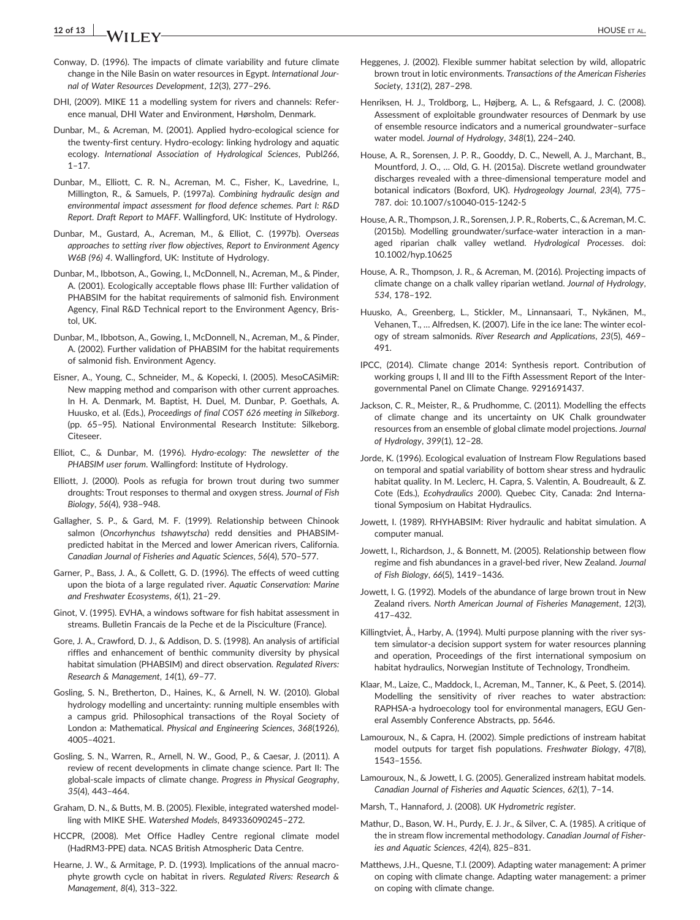# 12 of 13  $\overline{a}$  MOUSE ET AL.

- Conway, D. (1996). The impacts of climate variability and future climate change in the Nile Basin on water resources in Egypt. International Journal of Water Resources Development, 12(3), 277–296.
- DHI, (2009). MIKE 11 a modelling system for rivers and channels: Reference manual, DHI Water and Environment, Hørsholm, Denmark.
- Dunbar, M., & Acreman, M. (2001). Applied hydro‐ecological science for the twenty‐first century. Hydro‐ecology: linking hydrology and aquatic ecology. International Association of Hydrological Sciences, Publ266, 1–17.
- Dunbar, M., Elliott, C. R. N., Acreman, M. C., Fisher, K., Lavedrine, I., Millington, R., & Samuels, P. (1997a). Combining hydraulic design and environmental impact assessment for flood defence schemes. Part I: R&D Report. Draft Report to MAFF. Wallingford, UK: Institute of Hydrology.
- Dunbar, M., Gustard, A., Acreman, M., & Elliot, C. (1997b). Overseas approaches to setting river flow objectives, Report to Environment Agency W6B (96) 4. Wallingford, UK: Institute of Hydrology.
- Dunbar, M., Ibbotson, A., Gowing, I., McDonnell, N., Acreman, M., & Pinder, A. (2001). Ecologically acceptable flows phase III: Further validation of PHABSIM for the habitat requirements of salmonid fish. Environment Agency, Final R&D Technical report to the Environment Agency, Bristol, UK.
- Dunbar, M., Ibbotson, A., Gowing, I., McDonnell, N., Acreman, M., & Pinder, A. (2002). Further validation of PHABSIM for the habitat requirements of salmonid fish. Environment Agency.
- Eisner, A., Young, C., Schneider, M., & Kopecki, I. (2005). MesoCASiMiR: New mapping method and comparison with other current approaches. In H. A. Denmark, M. Baptist, H. Duel, M. Dunbar, P. Goethals, A. Huusko, et al. (Eds.), Proceedings of final COST 626 meeting in Silkeborg. (pp. 65–95). National Environmental Research Institute: Silkeborg. Citeseer.
- Elliot, C., & Dunbar, M. (1996). Hydro-ecology: The newsletter of the PHABSIM user forum. Wallingford: Institute of Hydrology.
- Elliott, J. (2000). Pools as refugia for brown trout during two summer droughts: Trout responses to thermal and oxygen stress. Journal of Fish Biology, 56(4), 938–948.
- Gallagher, S. P., & Gard, M. F. (1999). Relationship between Chinook salmon (Oncorhynchus tshawytscha) redd densities and PHABSIM‐ predicted habitat in the Merced and lower American rivers, California. Canadian Journal of Fisheries and Aquatic Sciences, 56(4), 570–577.
- Garner, P., Bass, J. A., & Collett, G. D. (1996). The effects of weed cutting upon the biota of a large regulated river. Aquatic Conservation: Marine and Freshwater Ecosystems, 6(1), 21–29.
- Ginot, V. (1995). EVHA, a windows software for fish habitat assessment in streams. Bulletin Francais de la Peche et de la Pisciculture (France).
- Gore, J. A., Crawford, D. J., & Addison, D. S. (1998). An analysis of artificial riffles and enhancement of benthic community diversity by physical habitat simulation (PHABSIM) and direct observation. Regulated Rivers: Research & Management, 14(1), 69–77.
- Gosling, S. N., Bretherton, D., Haines, K., & Arnell, N. W. (2010). Global hydrology modelling and uncertainty: running multiple ensembles with a campus grid. Philosophical transactions of the Royal Society of London a: Mathematical. Physical and Engineering Sciences, 368(1926), 4005–4021.
- Gosling, S. N., Warren, R., Arnell, N. W., Good, P., & Caesar, J. (2011). A review of recent developments in climate change science. Part II: The global‐scale impacts of climate change. Progress in Physical Geography, 35(4), 443–464.
- Graham, D. N., & Butts, M. B. (2005). Flexible, integrated watershed modelling with MIKE SHE. Watershed Models, 849336090245–272.
- HCCPR, (2008). Met Office Hadley Centre regional climate model (HadRM3‐PPE) data. NCAS British Atmospheric Data Centre.
- Hearne, J. W., & Armitage, P. D. (1993). Implications of the annual macrophyte growth cycle on habitat in rivers. Regulated Rivers: Research & Management, 8(4), 313–322.
- Heggenes, J. (2002). Flexible summer habitat selection by wild, allopatric brown trout in lotic environments. Transactions of the American Fisheries Society, 131(2), 287–298.
- Henriksen, H. J., Troldborg, L., Højberg, A. L., & Refsgaard, J. C. (2008). Assessment of exploitable groundwater resources of Denmark by use of ensemble resource indicators and a numerical groundwater–surface water model. Journal of Hydrology, 348(1), 224–240.
- House, A. R., Sorensen, J. P. R., Gooddy, D. C., Newell, A. J., Marchant, B., Mountford, J. O., … Old, G. H. (2015a). Discrete wetland groundwater discharges revealed with a three‐dimensional temperature model and botanical indicators (Boxford, UK). Hydrogeology Journal, 23(4), 775– 787. doi: [10.1007/s10040-015-1242-5](http://doi.org/10.1007/s10040-015-1242-5)
- House, A. R., Thompson, J. R., Sorensen, J. P. R., Roberts, C., & Acreman, M. C. (2015b). Modelling groundwater/surface‐water interaction in a managed riparian chalk valley wetland. Hydrological Processes. doi: [10.1002/hyp.10625](http://doi.org/10.1002/hyp.10625)
- House, A. R., Thompson, J. R., & Acreman, M. (2016). Projecting impacts of climate change on a chalk valley riparian wetland. Journal of Hydrology, 534, 178–192.
- Huusko, A., Greenberg, L., Stickler, M., Linnansaari, T., Nykänen, M., Vehanen, T., … Alfredsen, K. (2007). Life in the ice lane: The winter ecology of stream salmonids. River Research and Applications, 23(5), 469– 491.
- IPCC, (2014). Climate change 2014: Synthesis report. Contribution of working groups I, II and III to the Fifth Assessment Report of the Intergovernmental Panel on Climate Change. 9291691437.
- Jackson, C. R., Meister, R., & Prudhomme, C. (2011). Modelling the effects of climate change and its uncertainty on UK Chalk groundwater resources from an ensemble of global climate model projections. Journal of Hydrology, 399(1), 12–28.
- Jorde, K. (1996). Ecological evaluation of Instream Flow Regulations based on temporal and spatial variability of bottom shear stress and hydraulic habitat quality. In M. Leclerc, H. Capra, S. Valentin, A. Boudreault, & Z. Cote (Eds.), Ecohydraulics 2000). Quebec City, Canada: 2nd International Symposium on Habitat Hydraulics.
- Jowett, I. (1989). RHYHABSIM: River hydraulic and habitat simulation. A computer manual.
- Jowett, I., Richardson, J., & Bonnett, M. (2005). Relationship between flow regime and fish abundances in a gravel‐bed river, New Zealand. Journal of Fish Biology, 66(5), 1419–1436.
- Jowett, I. G. (1992). Models of the abundance of large brown trout in New Zealand rivers. North American Journal of Fisheries Management, 12(3), 417–432.
- Killingtviet, Å., Harby, A. (1994). Multi purpose planning with the river system simulator-a decision support system for water resources planning and operation, Proceedings of the first international symposium on habitat hydraulics, Norwegian Institute of Technology, Trondheim.
- Klaar, M., Laize, C., Maddock, I., Acreman, M., Tanner, K., & Peet, S. (2014). Modelling the sensitivity of river reaches to water abstraction: RAPHSA‐a hydroecology tool for environmental managers, EGU General Assembly Conference Abstracts, pp. 5646.
- Lamouroux, N., & Capra, H. (2002). Simple predictions of instream habitat model outputs for target fish populations. Freshwater Biology, 47(8), 1543–1556.
- Lamouroux, N., & Jowett, I. G. (2005). Generalized instream habitat models. Canadian Journal of Fisheries and Aquatic Sciences, 62(1), 7–14.
- Marsh, T., Hannaford, J. (2008). UK Hydrometric register.
- Mathur, D., Bason, W. H., Purdy, E. J. Jr., & Silver, C. A. (1985). A critique of the in stream flow incremental methodology. Canadian Journal of Fisheries and Aquatic Sciences, 42(4), 825–831.
- Matthews, J.H., Quesne, T.l. (2009). Adapting water management: A primer on coping with climate change. Adapting water management: a primer on coping with climate change.